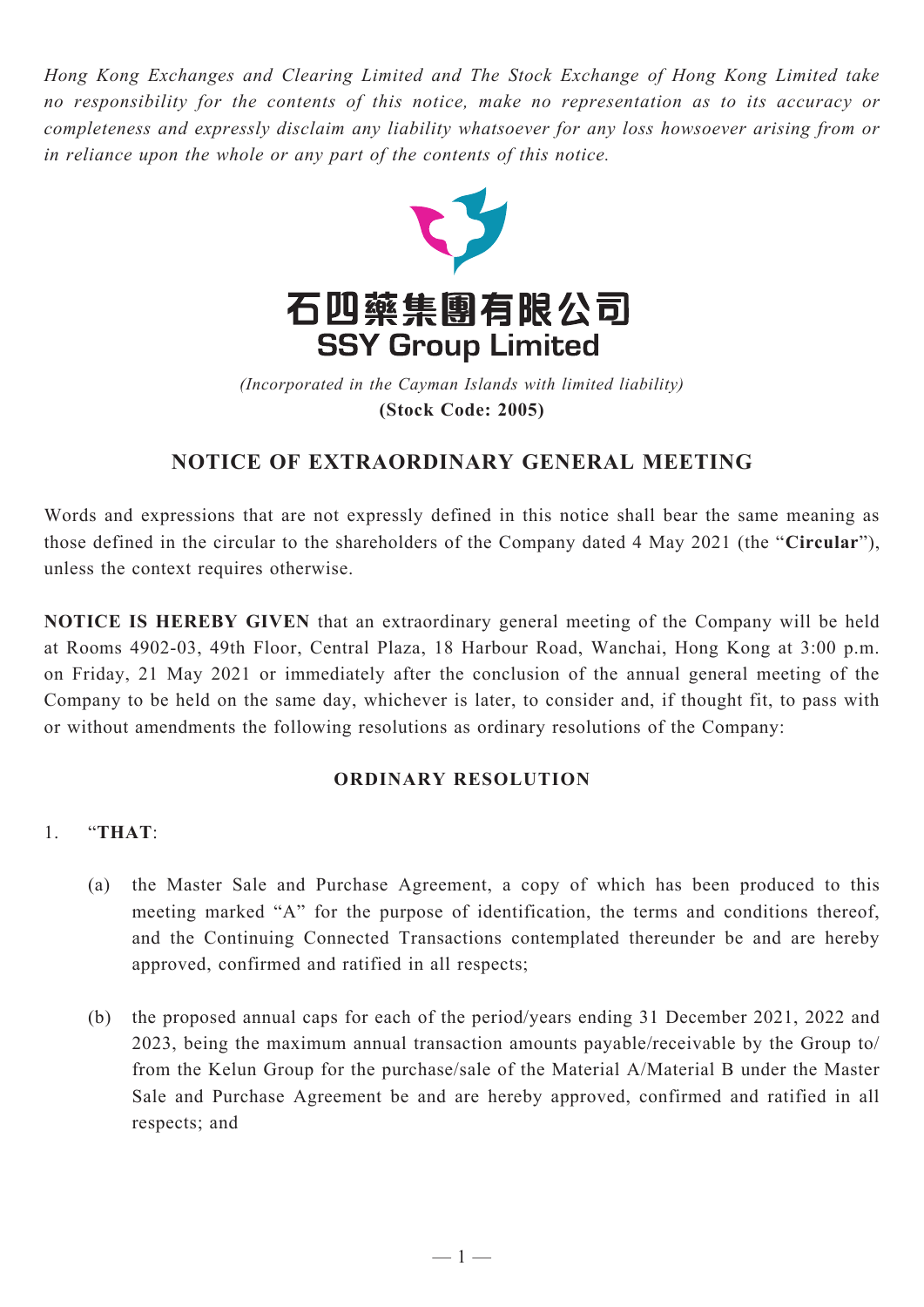*Hong Kong Exchanges and Clearing Limited and The Stock Exchange of Hong Kong Limited take no responsibility for the contents of this notice, make no representation as to its accuracy or completeness and expressly disclaim any liability whatsoever for any loss howsoever arising from or in reliance upon the whole or any part of the contents of this notice.*



(Incorporated in the Cayman Islands with limited liability) **(Stock Code: 2005)** *(Incorporated in the Cayman Islands with limited liability)* **(Stock Code: 2005)**

## **NOTICE OF EXTRAORDINARY GENERAL MEETING**

Words and expressions that are not expressly defined in this notice shall bear the same meaning as those defined in the circular to the shareholders of the Company dated 4 May 2021 (the "**Circular**"), unless the context requires otherwise.

**NOTICE IS HEREBY GIVEN** that an extraordinary general meeting of the Company will be held at Rooms 4902-03, 49th Floor, Central Plaza, 18 Harbour Road, Wanchai, Hong Kong at 3:00 p.m. on Friday, 21 May 2021 or immediately after the conclusion of the annual general meeting of the Company to be held on the same day, whichever is later, to consider and, if thought fit, to pass with or without amendments the following resolutions as ordinary resolutions of the Company:

## **ORDINARY RESOLUTION**

## 1. "**THAT**:

- (a) the Master Sale and Purchase Agreement, a copy of which has been produced to this meeting marked "A" for the purpose of identification, the terms and conditions thereof, and the Continuing Connected Transactions contemplated thereunder be and are hereby approved, confirmed and ratified in all respects;
- (b) the proposed annual caps for each of the period/years ending 31 December 2021, 2022 and 2023, being the maximum annual transaction amounts payable/receivable by the Group to/ from the Kelun Group for the purchase/sale of the Material A/Material B under the Master Sale and Purchase Agreement be and are hereby approved, confirmed and ratified in all respects; and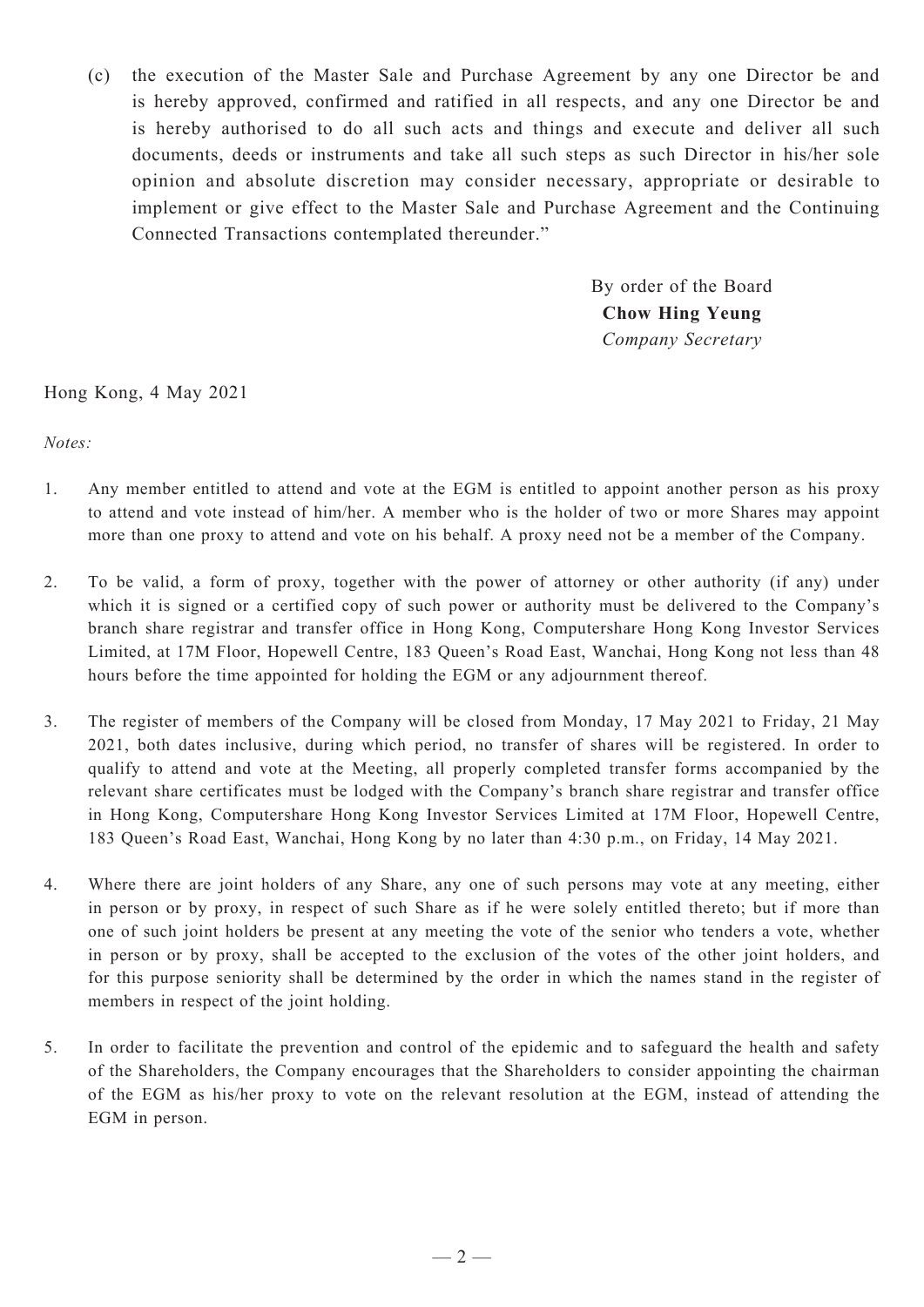(c) the execution of the Master Sale and Purchase Agreement by any one Director be and is hereby approved, confirmed and ratified in all respects, and any one Director be and is hereby authorised to do all such acts and things and execute and deliver all such documents, deeds or instruments and take all such steps as such Director in his/her sole opinion and absolute discretion may consider necessary, appropriate or desirable to implement or give effect to the Master Sale and Purchase Agreement and the Continuing Connected Transactions contemplated thereunder."

> By order of the Board **Chow Hing Yeung** *Company Secretary*

## Hong Kong, 4 May 2021

*Notes:*

- 1. Any member entitled to attend and vote at the EGM is entitled to appoint another person as his proxy to attend and vote instead of him/her. A member who is the holder of two or more Shares may appoint more than one proxy to attend and vote on his behalf. A proxy need not be a member of the Company.
- 2. To be valid, a form of proxy, together with the power of attorney or other authority (if any) under which it is signed or a certified copy of such power or authority must be delivered to the Company's branch share registrar and transfer office in Hong Kong, Computershare Hong Kong Investor Services Limited, at 17M Floor, Hopewell Centre, 183 Queen's Road East, Wanchai, Hong Kong not less than 48 hours before the time appointed for holding the EGM or any adjournment thereof.
- 3. The register of members of the Company will be closed from Monday, 17 May 2021 to Friday, 21 May 2021, both dates inclusive, during which period, no transfer of shares will be registered. In order to qualify to attend and vote at the Meeting, all properly completed transfer forms accompanied by the relevant share certificates must be lodged with the Company's branch share registrar and transfer office in Hong Kong, Computershare Hong Kong Investor Services Limited at 17M Floor, Hopewell Centre, 183 Queen's Road East, Wanchai, Hong Kong by no later than 4:30 p.m., on Friday, 14 May 2021.
- 4. Where there are joint holders of any Share, any one of such persons may vote at any meeting, either in person or by proxy, in respect of such Share as if he were solely entitled thereto; but if more than one of such joint holders be present at any meeting the vote of the senior who tenders a vote, whether in person or by proxy, shall be accepted to the exclusion of the votes of the other joint holders, and for this purpose seniority shall be determined by the order in which the names stand in the register of members in respect of the joint holding.
- 5. In order to facilitate the prevention and control of the epidemic and to safeguard the health and safety of the Shareholders, the Company encourages that the Shareholders to consider appointing the chairman of the EGM as his/her proxy to vote on the relevant resolution at the EGM, instead of attending the EGM in person.